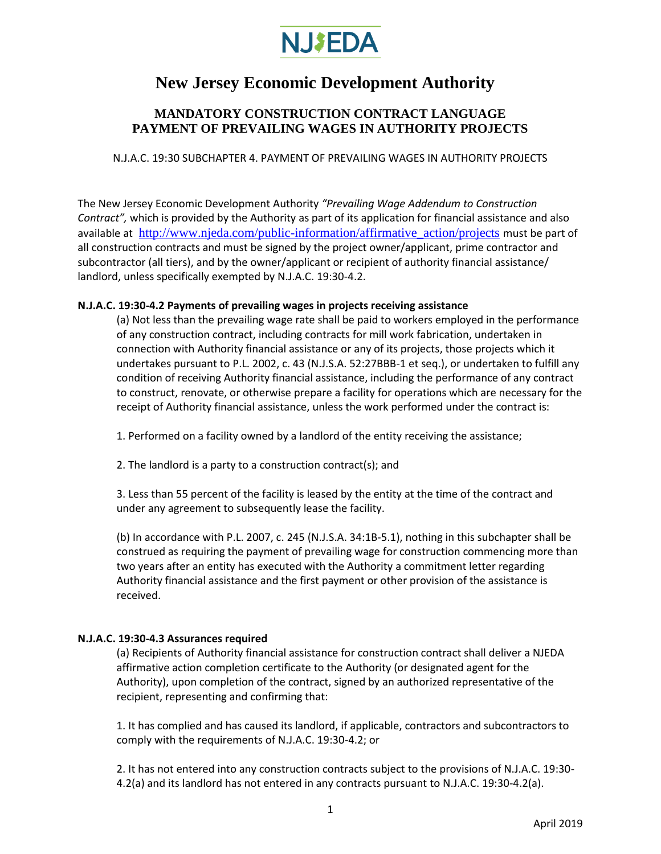

# **New Jersey Economic Development Authority**

## **MANDATORY CONSTRUCTION CONTRACT LANGUAGE PAYMENT OF PREVAILING WAGES IN AUTHORITY PROJECTS**

N.J.A.C. 19:30 SUBCHAPTER 4. PAYMENT OF PREVAILING WAGES IN AUTHORITY PROJECTS

The New Jersey Economic Development Authority *"Prevailing Wage Addendum to Construction Contract",* which is provided by the Authority as part of its application for financial assistance and also available at [http://www.njeda.com/public-information/affirmative\\_action/projects](http://www.njeda.com/public-information/affirmative_action/projects) must be part of all construction contracts and must be signed by the project owner/applicant, prime contractor and subcontractor (all tiers), and by the owner/applicant or recipient of authority financial assistance/ landlord, unless specifically exempted by N.J.A.C. 19:30-4.2.

#### **N.J.A.C. 19:30-4.2 Payments of prevailing wages in projects receiving assistance**

(a) Not less than the prevailing wage rate shall be paid to workers employed in the performance of any construction contract, including contracts for mill work fabrication, undertaken in connection with Authority financial assistance or any of its projects, those projects which it undertakes pursuant to P.L. 2002, c. 43 (N.J.S.A. 52:27BBB-1 et seq.), or undertaken to fulfill any condition of receiving Authority financial assistance, including the performance of any contract to construct, renovate, or otherwise prepare a facility for operations which are necessary for the receipt of Authority financial assistance, unless the work performed under the contract is:

1. Performed on a facility owned by a landlord of the entity receiving the assistance;

2. The landlord is a party to a construction contract(s); and

3. Less than 55 percent of the facility is leased by the entity at the time of the contract and under any agreement to subsequently lease the facility.

(b) In accordance with P.L. 2007, c. 245 (N.J.S.A. 34:1B-5.1), nothing in this subchapter shall be construed as requiring the payment of prevailing wage for construction commencing more than two years after an entity has executed with the Authority a commitment letter regarding Authority financial assistance and the first payment or other provision of the assistance is received.

### **N.J.A.C. 19:30-4.3 Assurances required**

(a) Recipients of Authority financial assistance for construction contract shall deliver a NJEDA affirmative action completion certificate to the Authority (or designated agent for the Authority), upon completion of the contract, signed by an authorized representative of the recipient, representing and confirming that:

1. It has complied and has caused its landlord, if applicable, contractors and subcontractors to comply with the requirements of N.J.A.C. 19:30-4.2; or

2. It has not entered into any construction contracts subject to the provisions of N.J.A.C. 19:30- 4.2(a) and its landlord has not entered in any contracts pursuant to N.J.A.C. 19:30-4.2(a).